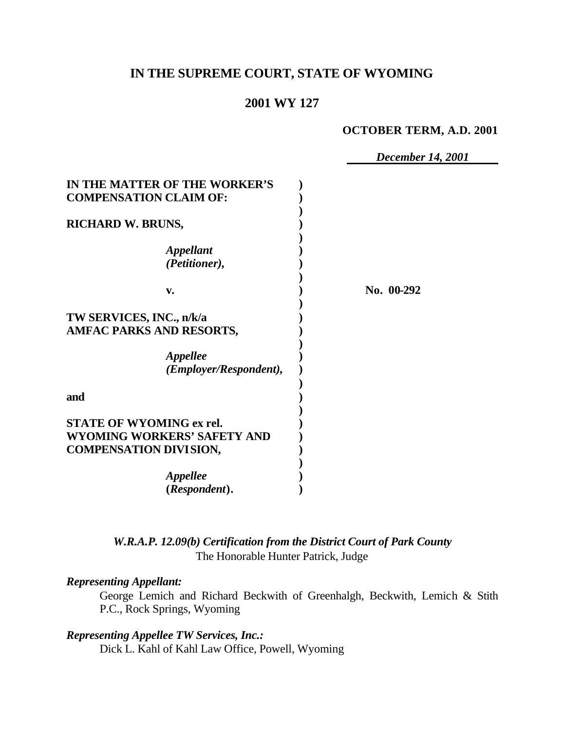# **IN THE SUPREME COURT, STATE OF WYOMING**

## **2001 WY 127**

#### **OCTOBER TERM, A.D. 2001**

*December 14, 2001*

| IN THE MATTER OF THE WORKER'S<br><b>COMPENSATION CLAIM OF:</b>                                  |            |
|-------------------------------------------------------------------------------------------------|------------|
| <b>RICHARD W. BRUNS,</b>                                                                        |            |
| <b>Appellant</b><br>(Petitioner),                                                               |            |
| v.                                                                                              | No. 00-292 |
| TW SERVICES, INC., n/k/a<br><b>AMFAC PARKS AND RESORTS,</b><br>Appellee                         |            |
| (Employer/Respondent),                                                                          |            |
| and                                                                                             |            |
| <b>STATE OF WYOMING ex rel.</b><br>WYOMING WORKERS' SAFETY AND<br><b>COMPENSATION DIVISION,</b> |            |
| <i><b>Appellee</b></i><br>(Respondent).                                                         |            |

*W.R.A.P. 12.09(b) Certification from the District Court of Park County* The Honorable Hunter Patrick, Judge

## *Representing Appellant:*

George Lemich and Richard Beckwith of Greenhalgh, Beckwith, Lemich & Stith P.C., Rock Springs, Wyoming

*Representing Appellee TW Services, Inc.:* Dick L. Kahl of Kahl Law Office, Powell, Wyoming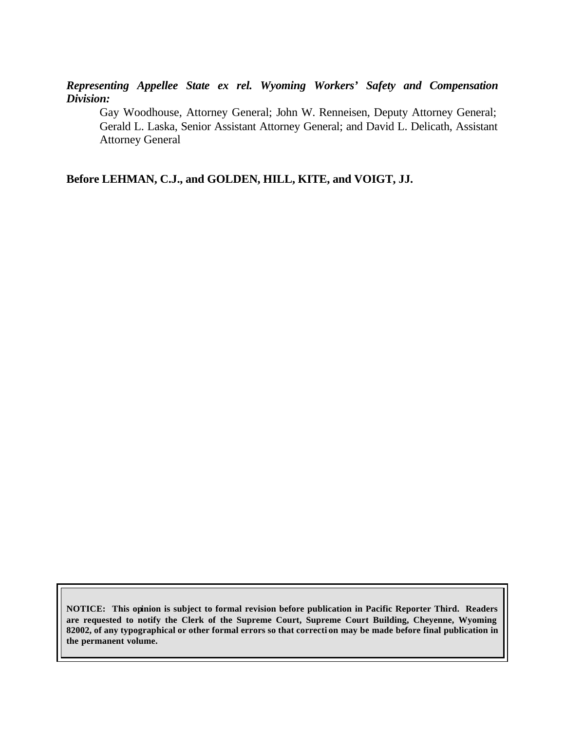*Representing Appellee State ex rel. Wyoming Workers' Safety and Compensation Division:*

Gay Woodhouse, Attorney General; John W. Renneisen, Deputy Attorney General; Gerald L. Laska, Senior Assistant Attorney General; and David L. Delicath, Assistant Attorney General

**Before LEHMAN, C.J., and GOLDEN, HILL, KITE, and VOIGT, JJ.**

**NOTICE: This opinion is subject to formal revision before publication in Pacific Reporter Third. Readers are requested to notify the Clerk of the Supreme Court, Supreme Court Building, Cheyenne, Wyoming 82002, of any typographical or other formal errors so that correcti on may be made before final publication in the permanent volume.**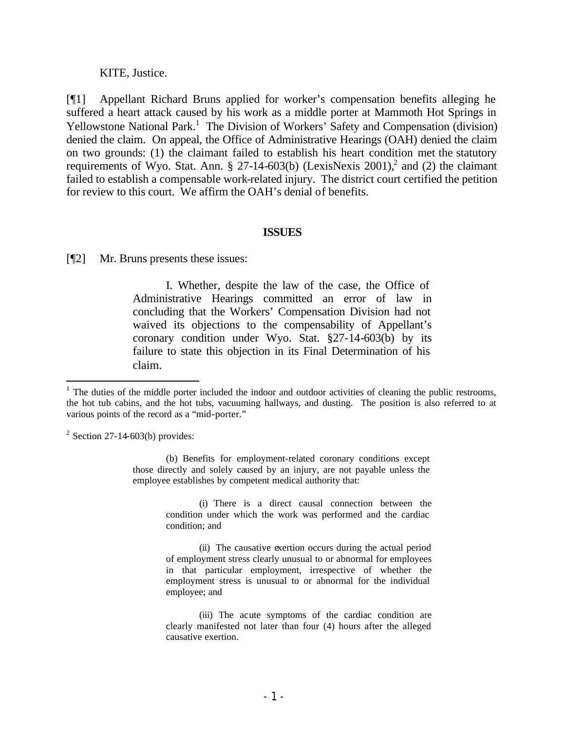#### KITE, Justice.

[¶1] Appellant Richard Bruns applied for worker's compensation benefits alleging he suffered a heart attack caused by his work as a middle porter at Mammoth Hot Springs in Yellowstone National Park.<sup>1</sup> The Division of Workers' Safety and Compensation (division) denied the claim. On appeal, the Office of Administrative Hearings (OAH) denied the claim on two grounds: (1) the claimant failed to establish his heart condition met the statutory requirements of Wyo. Stat. Ann. § 27-14-603(b) (LexisNexis 2001),<sup>2</sup> and (2) the claimant failed to establish a compensable work-related injury. The district court certified the petition for review to this court. We affirm the OAH's denial of benefits.

#### **ISSUES**

[¶2] Mr. Bruns presents these issues:

I. Whether, despite the law of the case, the Office of Administrative Hearings committed an error of law in concluding that the Workers' Compensation Division had not waived its objections to the compensability of Appellant's coronary condition under Wyo. Stat. §27-14-603(b) by its failure to state this objection in its Final Determination of his claim.

(i) There is a direct causal connection between the condition under which the work was performed and the cardiac condition; and

(ii) The causative exertion occurs during the actual period of employment stress clearly unusual to or abnormal for employees in that particular employment, irrespective of whether the employment stress is unusual to or abnormal for the individual employee; and

 $1$  The duties of the middle porter included the indoor and outdoor activities of cleaning the public restrooms, the hot tub cabins, and the hot tubs, vacuuming hallways, and dusting. The position is also referred to at various points of the record as a "mid-porter."

 $2^2$  Section 27-14-603(b) provides:

<sup>(</sup>b) Benefits for employment-related coronary conditions except those directly and solely caused by an injury, are not payable unless the employee establishes by competent medical authority that:

<sup>(</sup>iii) The acute symptoms of the cardiac condition are clearly manifested not later than four (4) hours after the alleged causative exertion.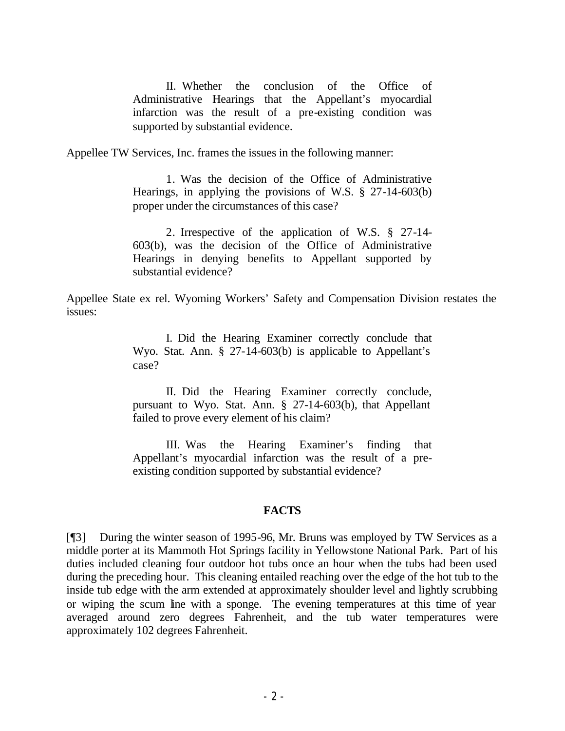II. Whether the conclusion of the Office of Administrative Hearings that the Appellant's myocardial infarction was the result of a pre-existing condition was supported by substantial evidence.

Appellee TW Services, Inc. frames the issues in the following manner:

1. Was the decision of the Office of Administrative Hearings, in applying the provisions of W.S. § 27-14-603(b) proper under the circumstances of this case?

2. Irrespective of the application of W.S. § 27-14- 603(b), was the decision of the Office of Administrative Hearings in denying benefits to Appellant supported by substantial evidence?

Appellee State ex rel. Wyoming Workers' Safety and Compensation Division restates the issues:

> I. Did the Hearing Examiner correctly conclude that Wyo. Stat. Ann. § 27-14-603(b) is applicable to Appellant's case?

> II. Did the Hearing Examiner correctly conclude, pursuant to Wyo. Stat. Ann. § 27-14-603(b), that Appellant failed to prove every element of his claim?

> III. Was the Hearing Examiner's finding that Appellant's myocardial infarction was the result of a preexisting condition supported by substantial evidence?

### **FACTS**

[¶3] During the winter season of 1995-96, Mr. Bruns was employed by TW Services as a middle porter at its Mammoth Hot Springs facility in Yellowstone National Park. Part of his duties included cleaning four outdoor hot tubs once an hour when the tubs had been used during the preceding hour. This cleaning entailed reaching over the edge of the hot tub to the inside tub edge with the arm extended at approximately shoulder level and lightly scrubbing or wiping the scum line with a sponge. The evening temperatures at this time of year averaged around zero degrees Fahrenheit, and the tub water temperatures were approximately 102 degrees Fahrenheit.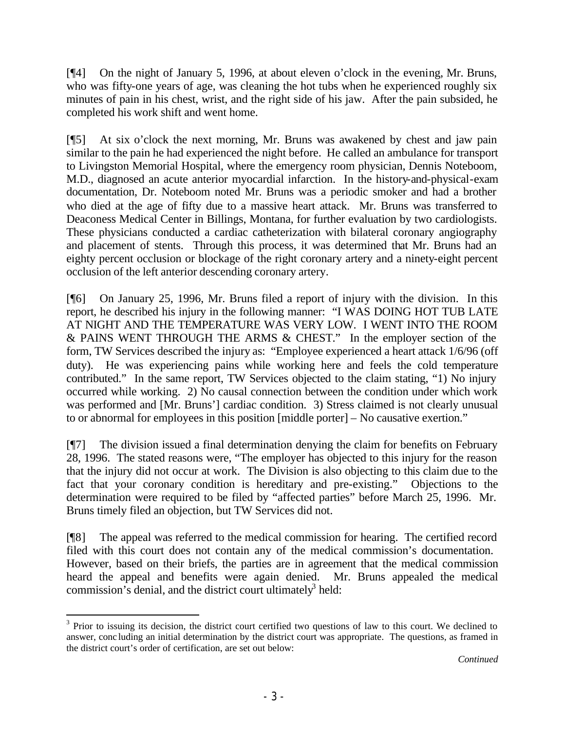[¶4] On the night of January 5, 1996, at about eleven o'clock in the evening, Mr. Bruns, who was fifty-one years of age, was cleaning the hot tubs when he experienced roughly six minutes of pain in his chest, wrist, and the right side of his jaw. After the pain subsided, he completed his work shift and went home.

[¶5] At six o'clock the next morning, Mr. Bruns was awakened by chest and jaw pain similar to the pain he had experienced the night before. He called an ambulance for transport to Livingston Memorial Hospital, where the emergency room physician, Dennis Noteboom, M.D., diagnosed an acute anterior myocardial infarction.In the history-and-physical-exam documentation, Dr. Noteboom noted Mr. Bruns was a periodic smoker and had a brother who died at the age of fifty due to a massive heart attack. Mr. Bruns was transferred to Deaconess Medical Center in Billings, Montana, for further evaluation by two cardiologists. These physicians conducted a cardiac catheterization with bilateral coronary angiography and placement of stents. Through this process, it was determined that Mr. Bruns had an eighty percent occlusion or blockage of the right coronary artery and a ninety-eight percent occlusion of the left anterior descending coronary artery.

[¶6] On January 25, 1996, Mr. Bruns filed a report of injury with the division.In this report, he described his injury in the following manner: "I WAS DOING HOT TUB LATE AT NIGHT AND THE TEMPERATURE WAS VERY LOW. I WENT INTO THE ROOM & PAINS WENT THROUGH THE ARMS & CHEST." In the employer section of the form, TW Services described the injury as: "Employee experienced a heart attack 1/6/96 (off duty). He was experiencing pains while working here and feels the cold temperature contributed." In the same report, TW Services objected to the claim stating, "1) No injury occurred while working. 2) No causal connection between the condition under which work was performed and [Mr. Bruns'] cardiac condition. 3) Stress claimed is not clearly unusual to or abnormal for employees in this position [middle porter] – No causative exertion."

[¶7] The division issued a final determination denying the claim for benefits on February 28, 1996. The stated reasons were, "The employer has objected to this injury for the reason that the injury did not occur at work. The Division is also objecting to this claim due to the fact that your coronary condition is hereditary and pre-existing." Objections to the determination were required to be filed by "affected parties" before March 25, 1996. Mr. Bruns timely filed an objection, but TW Services did not.

[¶8] The appeal was referred to the medical commission for hearing. The certified record filed with this court does not contain any of the medical commission's documentation. However, based on their briefs, the parties are in agreement that the medical commission heard the appeal and benefits were again denied. Mr. Bruns appealed the medical commission's denial, and the district court ultimately<sup>3</sup> held:

 $3$  Prior to issuing its decision, the district court certified two questions of law to this court. We declined to answer, conc luding an initial determination by the district court was appropriate. The questions, as framed in the district court's order of certification, are set out below: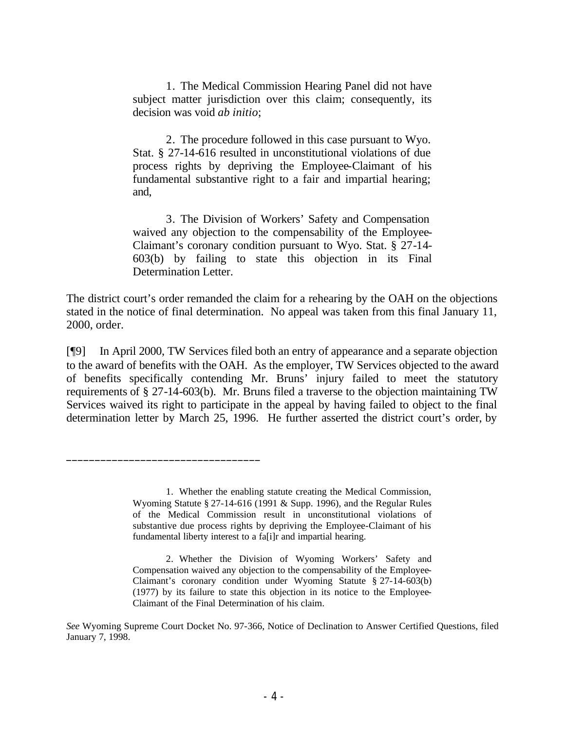1. The Medical Commission Hearing Panel did not have subject matter jurisdiction over this claim; consequently, its decision was void *ab initio*;

2. The procedure followed in this case pursuant to Wyo. Stat. § 27-14-616 resulted in unconstitutional violations of due process rights by depriving the Employee-Claimant of his fundamental substantive right to a fair and impartial hearing; and,

3. The Division of Workers' Safety and Compensation waived any objection to the compensability of the Employee-Claimant's coronary condition pursuant to Wyo. Stat. § 27-14- 603(b) by failing to state this objection in its Final Determination Letter.

The district court's order remanded the claim for a rehearing by the OAH on the objections stated in the notice of final determination. No appeal was taken from this final January 11, 2000, order.

[¶9] In April 2000, TW Services filed both an entry of appearance and a separate objection to the award of benefits with the OAH. As the employer, TW Services objected to the award of benefits specifically contending Mr. Bruns' injury failed to meet the statutory requirements of § 27-14-603(b). Mr. Bruns filed a traverse to the objection maintaining TW Services waived its right to participate in the appeal by having failed to object to the final determination letter by March 25, 1996. He further asserted the district court's order, by

 $\frac{1}{2}$  , and the set of the set of the set of the set of the set of the set of the set of the set of the set of the set of the set of the set of the set of the set of the set of the set of the set of the set of the set

<sup>1.</sup> Whether the enabling statute creating the Medical Commission, Wyoming Statute § 27-14-616 (1991 & Supp. 1996), and the Regular Rules of the Medical Commission result in unconstitutional violations of substantive due process rights by depriving the Employee-Claimant of his fundamental liberty interest to a fa[i]r and impartial hearing.

<sup>2.</sup> Whether the Division of Wyoming Workers' Safety and Compensation waived any objection to the compensability of the Employee-Claimant's coronary condition under Wyoming Statute § 27-14-603(b) (1977) by its failure to state this objection in its notice to the Employee-Claimant of the Final Determination of his claim.

*See* Wyoming Supreme Court Docket No. 97-366, Notice of Declination to Answer Certified Questions, filed January 7, 1998.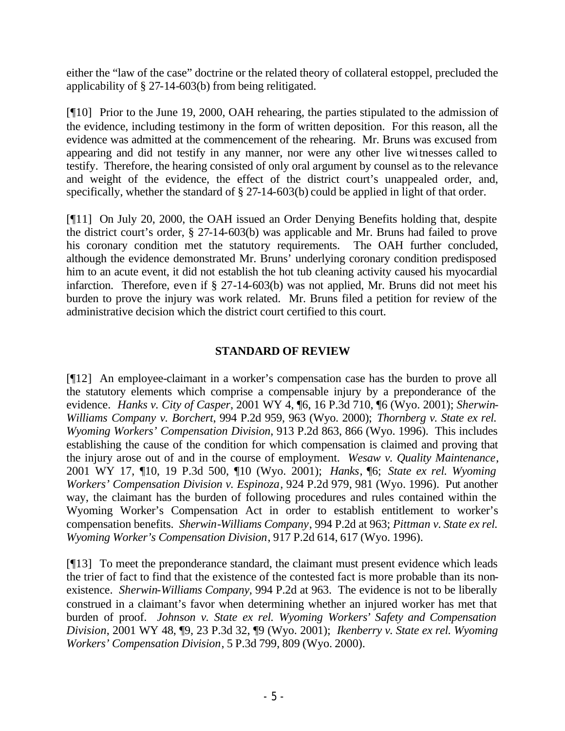either the "law of the case" doctrine or the related theory of collateral estoppel, precluded the applicability of § 27-14-603(b) from being relitigated.

[¶10] Prior to the June 19, 2000, OAH rehearing, the parties stipulated to the admission of the evidence, including testimony in the form of written deposition. For this reason, all the evidence was admitted at the commencement of the rehearing. Mr. Bruns was excused from appearing and did not testify in any manner, nor were any other live witnesses called to testify. Therefore, the hearing consisted of only oral argument by counsel as to the relevance and weight of the evidence, the effect of the district court's unappealed order, and, specifically, whether the standard of § 27-14-603(b) could be applied in light of that order.

[¶11] On July 20, 2000, the OAH issued an Order Denying Benefits holding that, despite the district court's order, § 27-14-603(b) was applicable and Mr. Bruns had failed to prove his coronary condition met the statutory requirements. The OAH further concluded, although the evidence demonstrated Mr. Bruns' underlying coronary condition predisposed him to an acute event, it did not establish the hot tub cleaning activity caused his myocardial infarction. Therefore, even if § 27-14-603(b) was not applied, Mr. Bruns did not meet his burden to prove the injury was work related. Mr. Bruns filed a petition for review of the administrative decision which the district court certified to this court.

## **STANDARD OF REVIEW**

[¶12] An employee-claimant in a worker's compensation case has the burden to prove all the statutory elements which comprise a compensable injury by a preponderance of the evidence. *Hanks v. City of Casper*, 2001 WY 4, ¶6, 16 P.3d 710, ¶6 (Wyo. 2001); *Sherwin-Williams Company v. Borchert*, 994 P.2d 959, 963 (Wyo. 2000); *Thornberg v. State ex rel. Wyoming Workers' Compensation Division*, 913 P.2d 863, 866 (Wyo. 1996). This includes establishing the cause of the condition for which compensation is claimed and proving that the injury arose out of and in the course of employment. *Wesaw v. Quality Maintenance*, 2001 WY 17, ¶10, 19 P.3d 500, ¶10 (Wyo. 2001); *Hanks*, ¶6; *State ex rel. Wyoming Workers' Compensation Division v. Espinoza*, 924 P.2d 979, 981 (Wyo. 1996). Put another way, the claimant has the burden of following procedures and rules contained within the Wyoming Worker's Compensation Act in order to establish entitlement to worker's compensation benefits. *Sherwin-Williams Company*, 994 P.2d at 963; *Pittman v. State ex rel. Wyoming Worker's Compensation Division*, 917 P.2d 614, 617 (Wyo. 1996).

[¶13] To meet the preponderance standard, the claimant must present evidence which leads the trier of fact to find that the existence of the contested fact is more probable than its nonexistence. *Sherwin-Williams Company,* 994 P.2d at 963. The evidence is not to be liberally construed in a claimant's favor when determining whether an injured worker has met that burden of proof. *Johnson v. State ex rel. Wyoming Workers' Safety and Compensation Division*, 2001 WY 48, ¶9, 23 P.3d 32, ¶9 (Wyo. 2001); *Ikenberry v. State ex rel. Wyoming Workers' Compensation Division*, 5 P.3d 799, 809 (Wyo. 2000).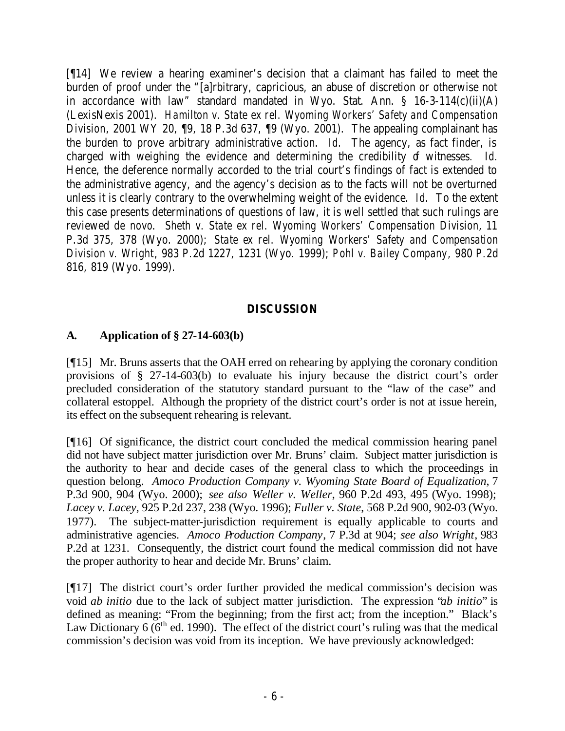[¶14] We review a hearing examiner's decision that a claimant has failed to meet the burden of proof under the "[a]rbitrary, capricious, an abuse of discretion or otherwise not in accordance with law" standard mandated in Wyo. Stat. Ann. § 16-3-114(c)(ii)(A) (LexisNexis 2001). *Hamilton v. State ex rel. Wyoming Workers' Safety and Compensation Division*, 2001 WY 20, 19, 18 P.3d 637, 19 (Wyo. 2001). The appealing complainant has the burden to prove arbitrary administrative action. *Id.* The agency, as fact finder, is charged with weighing the evidence and determining the credibility of witnesses. Id. Hence, the deference normally accorded to the trial court's findings of fact is extended to the administrative agency, and the agency's decision as to the facts will not be overturned unless it is clearly contrary to the overwhelming weight of the evidence. *Id.* To the extent this case presents determinations of questions of law, it is well settled that such rulings are reviewed *de novo*. *Sheth v. State ex rel. Wyoming Workers' Compensation Division*, 11 P.3d 375, 378 (Wyo. 2000); *State ex rel. Wyoming Workers' Safety and Compensation Division v. Wright*, 983 P.2d 1227, 1231 (Wyo. 1999); *Pohl v. Bailey Company*, 980 P.2d 816, 819 (Wyo. 1999).

# **DISCUSSION**

# **A. Application of § 27-14-603(b)**

[¶15] Mr. Bruns asserts that the OAH erred on rehearing by applying the coronary condition provisions of § 27-14-603(b) to evaluate his injury because the district court's order precluded consideration of the statutory standard pursuant to the "law of the case" and collateral estoppel. Although the propriety of the district court's order is not at issue herein, its effect on the subsequent rehearing is relevant.

[¶16] Of significance, the district court concluded the medical commission hearing panel did not have subject matter jurisdiction over Mr. Bruns' claim. Subject matter jurisdiction is the authority to hear and decide cases of the general class to which the proceedings in question belong. *Amoco Production Company v. Wyoming State Board of Equalization*, 7 P.3d 900, 904 (Wyo. 2000); *see also Weller v. Weller*, 960 P.2d 493, 495 (Wyo. 1998); *Lacey v. Lacey*, 925 P.2d 237, 238 (Wyo. 1996); *Fuller v. State*, 568 P.2d 900, 902-03 (Wyo. 1977). The subject-matter-jurisdiction requirement is equally applicable to courts and administrative agencies. *Amoco Production Company*, 7 P.3d at 904; *see also Wright*, 983 P.2d at 1231. Consequently, the district court found the medical commission did not have the proper authority to hear and decide Mr. Bruns' claim.

[¶17] The district court's order further provided the medical commission's decision was void *ab initio* due to the lack of subject matter jurisdiction. The expression "*ab initio*" is defined as meaning: "From the beginning; from the first act; from the inception." Black's Law Dictionary  $6(6<sup>th</sup>$  ed. 1990). The effect of the district court's ruling was that the medical commission's decision was void from its inception. We have previously acknowledged: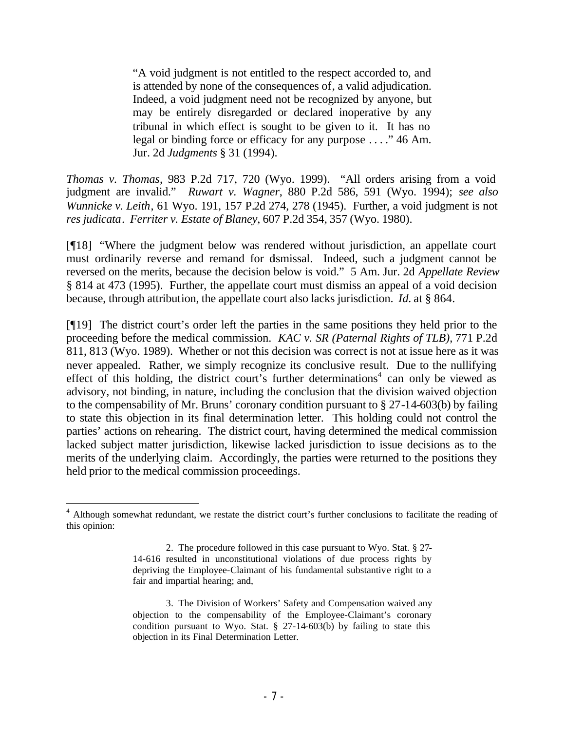"A void judgment is not entitled to the respect accorded to, and is attended by none of the consequences of, a valid adjudication. Indeed, a void judgment need not be recognized by anyone, but may be entirely disregarded or declared inoperative by any tribunal in which effect is sought to be given to it. It has no legal or binding force or efficacy for any purpose . . . ." 46 Am. Jur. 2d *Judgments* § 31 (1994).

*Thomas v. Thomas*, 983 P.2d 717, 720 (Wyo. 1999). "All orders arising from a void judgment are invalid." *Ruwart v. Wagner*, 880 P.2d 586, 591 (Wyo. 1994); *see also Wunnicke v. Leith*, 61 Wyo. 191, 157 P.2d 274, 278 (1945). Further, a void judgment is not *res judicata*. *Ferriter v. Estate of Blaney*, 607 P.2d 354, 357 (Wyo. 1980).

[¶18] "Where the judgment below was rendered without jurisdiction, an appellate court must ordinarily reverse and remand for dsmissal. Indeed, such a judgment cannot be reversed on the merits, because the decision below is void." 5 Am. Jur. 2d *Appellate Review* § 814 at 473 (1995). Further, the appellate court must dismiss an appeal of a void decision because, through attribution, the appellate court also lacks jurisdiction. *Id.* at § 864.

[¶19] The district court's order left the parties in the same positions they held prior to the proceeding before the medical commission. *KAC v. SR (Paternal Rights of TLB)*, 771 P.2d 811, 813 (Wyo. 1989). Whether or not this decision was correct is not at issue here as it was never appealed. Rather, we simply recognize its conclusive result. Due to the nullifying effect of this holding, the district court's further determinations<sup>4</sup> can only be viewed as advisory, not binding, in nature, including the conclusion that the division waived objection to the compensability of Mr. Bruns' coronary condition pursuant to § 27-14-603(b) by failing to state this objection in its final determination letter. This holding could not control the parties' actions on rehearing. The district court, having determined the medical commission lacked subject matter jurisdiction, likewise lacked jurisdiction to issue decisions as to the merits of the underlying claim. Accordingly, the parties were returned to the positions they held prior to the medical commission proceedings.

<sup>&</sup>lt;sup>4</sup> Although somewhat redundant, we restate the district court's further conclusions to facilitate the reading of this opinion:

<sup>2.</sup> The procedure followed in this case pursuant to Wyo. Stat. § 27- 14-616 resulted in unconstitutional violations of due process rights by depriving the Employee-Claimant of his fundamental substantive right to a fair and impartial hearing; and,

<sup>3.</sup> The Division of Workers' Safety and Compensation waived any objection to the compensability of the Employee-Claimant's coronary condition pursuant to Wyo. Stat.  $\S$  27-14-603(b) by failing to state this objection in its Final Determination Letter.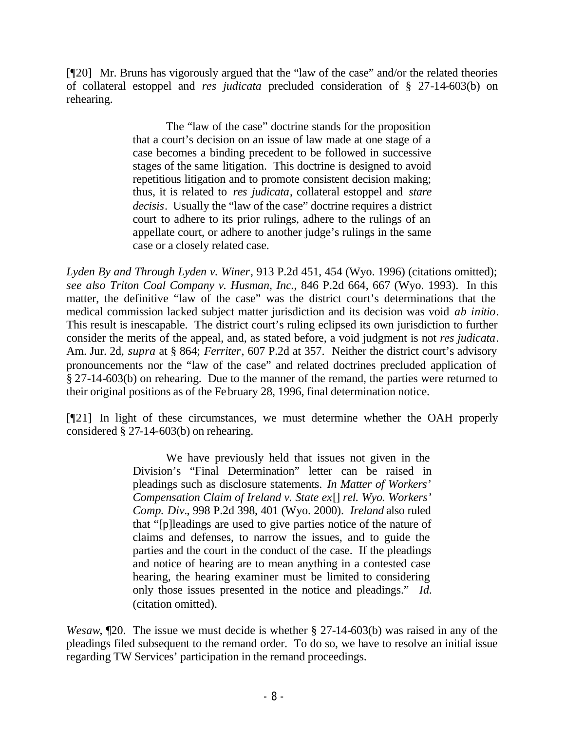[¶20] Mr. Bruns has vigorously argued that the "law of the case" and/or the related theories of collateral estoppel and *res judicata* precluded consideration of § 27-14-603(b) on rehearing.

> The "law of the case" doctrine stands for the proposition that a court's decision on an issue of law made at one stage of a case becomes a binding precedent to be followed in successive stages of the same litigation. This doctrine is designed to avoid repetitious litigation and to promote consistent decision making; thus, it is related to *res judicata*, collateral estoppel and *stare decisis*. Usually the "law of the case" doctrine requires a district court to adhere to its prior rulings, adhere to the rulings of an appellate court, or adhere to another judge's rulings in the same case or a closely related case.

*Lyden By and Through Lyden v. Winer*, 913 P.2d 451, 454 (Wyo. 1996) (citations omitted); *see also Triton Coal Company v. Husman, Inc.*, 846 P.2d 664, 667 (Wyo. 1993). In this matter, the definitive "law of the case" was the district court's determinations that the medical commission lacked subject matter jurisdiction and its decision was void *ab initio*. This result is inescapable. The district court's ruling eclipsed its own jurisdiction to further consider the merits of the appeal, and, as stated before, a void judgment is not *res judicata*. Am. Jur. 2d, *supra* at § 864; *Ferriter*, 607 P.2d at 357. Neither the district court's advisory pronouncements nor the "law of the case" and related doctrines precluded application of § 27-14-603(b) on rehearing. Due to the manner of the remand, the parties were returned to their original positions as of the February 28, 1996, final determination notice.

[¶21] In light of these circumstances, we must determine whether the OAH properly considered § 27-14-603(b) on rehearing.

> We have previously held that issues not given in the Division's "Final Determination" letter can be raised in pleadings such as disclosure statements. *In Matter of Workers' Compensation Claim of Ireland v. State ex*[] *rel. Wyo. Workers' Comp. Div.*, 998 P.2d 398, 401 (Wyo. 2000). *Ireland* also ruled that "[p]leadings are used to give parties notice of the nature of claims and defenses, to narrow the issues, and to guide the parties and the court in the conduct of the case. If the pleadings and notice of hearing are to mean anything in a contested case hearing, the hearing examiner must be limited to considering only those issues presented in the notice and pleadings." *Id.* (citation omitted).

*Wesaw*, ¶20. The issue we must decide is whether § 27-14-603(b) was raised in any of the pleadings filed subsequent to the remand order. To do so, we have to resolve an initial issue regarding TW Services' participation in the remand proceedings.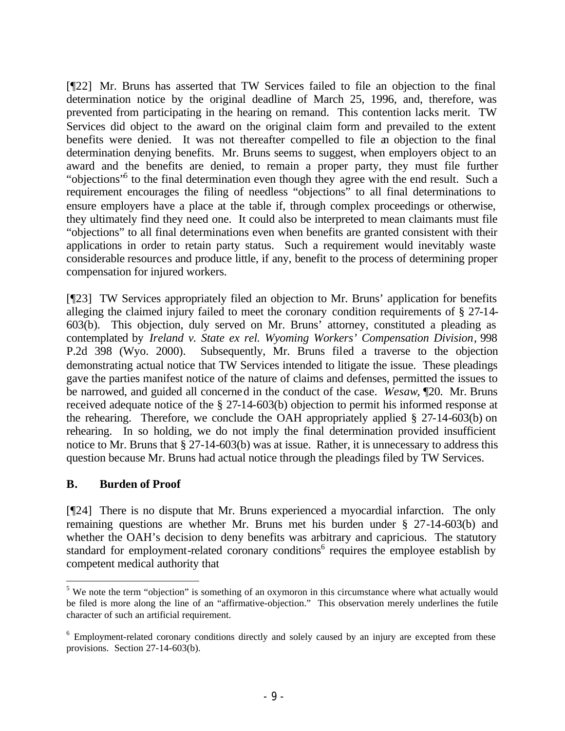[¶22] Mr. Bruns has asserted that TW Services failed to file an objection to the final determination notice by the original deadline of March 25, 1996, and, therefore, was prevented from participating in the hearing on remand. This contention lacks merit. TW Services did object to the award on the original claim form and prevailed to the extent benefits were denied. It was not thereafter compelled to file an objection to the final determination denying benefits. Mr. Bruns seems to suggest, when employers object to an award and the benefits are denied, to remain a proper party, they must file further "objections"<sup>5</sup> to the final determination even though they agree with the end result. Such a requirement encourages the filing of needless "objections" to all final determinations to ensure employers have a place at the table if, through complex proceedings or otherwise, they ultimately find they need one. It could also be interpreted to mean claimants must file "objections" to all final determinations even when benefits are granted consistent with their applications in order to retain party status. Such a requirement would inevitably waste considerable resources and produce little, if any, benefit to the process of determining proper compensation for injured workers.

[¶23] TW Services appropriately filed an objection to Mr. Bruns' application for benefits alleging the claimed injury failed to meet the coronary condition requirements of § 27-14- 603(b). This objection, duly served on Mr. Bruns' attorney, constituted a pleading as contemplated by *Ireland v. State ex rel. Wyoming Workers' Compensation Division*, 998 P.2d 398 (Wyo. 2000). Subsequently, Mr. Bruns filed a traverse to the objection demonstrating actual notice that TW Services intended to litigate the issue. These pleadings gave the parties manifest notice of the nature of claims and defenses, permitted the issues to be narrowed, and guided all concerned in the conduct of the case. *Wesaw*, ¶20. Mr. Bruns received adequate notice of the § 27-14-603(b) objection to permit his informed response at the rehearing. Therefore, we conclude the OAH appropriately applied  $\S$  27-14-603(b) on rehearing. In so holding, we do not imply the final determination provided insufficient notice to Mr. Bruns that § 27-14-603(b) was at issue. Rather, it is unnecessary to address this question because Mr. Bruns had actual notice through the pleadings filed by TW Services.

### **B. Burden of Proof**

[¶24] There is no dispute that Mr. Bruns experienced a myocardial infarction. The only remaining questions are whether Mr. Bruns met his burden under § 27-14-603(b) and whether the OAH's decision to deny benefits was arbitrary and capricious. The statutory standard for employment-related coronary conditions<sup>6</sup> requires the employee establish by competent medical authority that

 $5$  We note the term "objection" is something of an oxymoron in this circumstance where what actually would be filed is more along the line of an "affirmative-objection." This observation merely underlines the futile character of such an artificial requirement.

<sup>&</sup>lt;sup>6</sup> Employment-related coronary conditions directly and solely caused by an injury are excepted from these provisions. Section 27-14-603(b).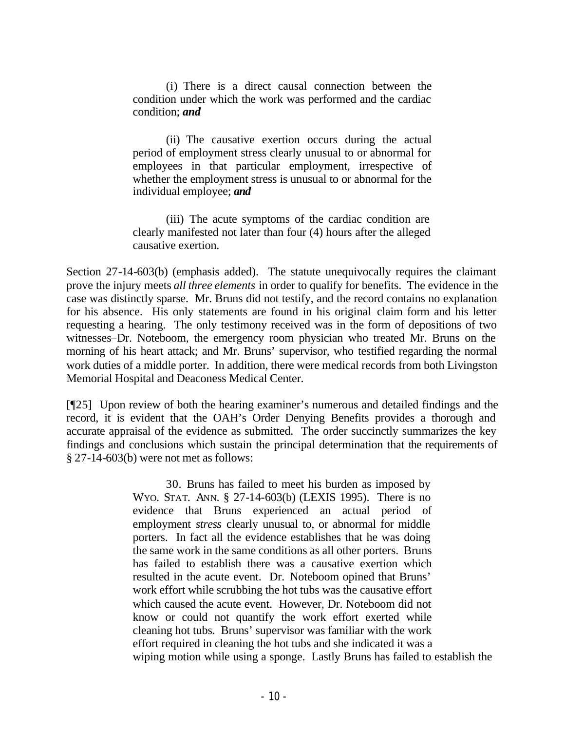(i) There is a direct causal connection between the condition under which the work was performed and the cardiac condition; *and*

(ii) The causative exertion occurs during the actual period of employment stress clearly unusual to or abnormal for employees in that particular employment, irrespective of whether the employment stress is unusual to or abnormal for the individual employee; *and*

(iii) The acute symptoms of the cardiac condition are clearly manifested not later than four (4) hours after the alleged causative exertion.

Section 27-14-603(b) (emphasis added). The statute unequivocally requires the claimant prove the injury meets *all three elements* in order to qualify for benefits. The evidence in the case was distinctly sparse. Mr. Bruns did not testify, and the record contains no explanation for his absence. His only statements are found in his original claim form and his letter requesting a hearing. The only testimony received was in the form of depositions of two witnesses–Dr. Noteboom, the emergency room physician who treated Mr. Bruns on the morning of his heart attack; and Mr. Bruns' supervisor, who testified regarding the normal work duties of a middle porter. In addition, there were medical records from both Livingston Memorial Hospital and Deaconess Medical Center.

[¶25] Upon review of both the hearing examiner's numerous and detailed findings and the record, it is evident that the OAH's Order Denying Benefits provides a thorough and accurate appraisal of the evidence as submitted. The order succinctly summarizes the key findings and conclusions which sustain the principal determination that the requirements of § 27-14-603(b) were not met as follows:

> 30. Bruns has failed to meet his burden as imposed by WYO. STAT. ANN. § 27-14-603(b) (LEXIS 1995). There is no evidence that Bruns experienced an actual period of employment *stress* clearly unusual to, or abnormal for middle porters. In fact all the evidence establishes that he was doing the same work in the same conditions as all other porters. Bruns has failed to establish there was a causative exertion which resulted in the acute event. Dr. Noteboom opined that Bruns' work effort while scrubbing the hot tubs was the causative effort which caused the acute event. However, Dr. Noteboom did not know or could not quantify the work effort exerted while cleaning hot tubs. Bruns' supervisor was familiar with the work effort required in cleaning the hot tubs and she indicated it was a wiping motion while using a sponge. Lastly Bruns has failed to establish the